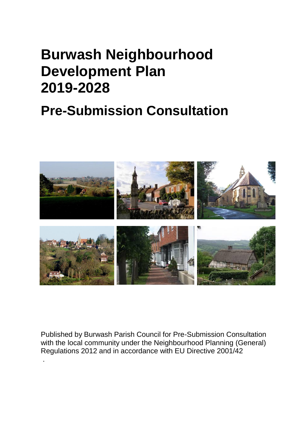# **Burwash Neighbourhood Development Plan 2019-2028**

# **Pre-Submission Consultation**



Published by Burwash Parish Council for Pre-Submission Consultation with the local community under the Neighbourhood Planning (General) Regulations 2012 and in accordance with EU Directive 2001/42

.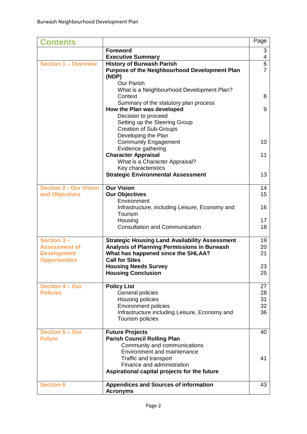| <b>Contents</b>                                                                  |                                                                                                                                                                     | Page                 |
|----------------------------------------------------------------------------------|---------------------------------------------------------------------------------------------------------------------------------------------------------------------|----------------------|
|                                                                                  | <b>Foreword</b>                                                                                                                                                     | 3                    |
|                                                                                  | <b>Executive Summary</b>                                                                                                                                            | 4                    |
| <b>Section 1 - Overview</b>                                                      | <b>History of Burwash Parish</b><br><b>Purpose of the Neighbourhood Development Plan</b><br>(NDP)<br><b>Our Parish</b>                                              | 6<br>$\overline{7}$  |
|                                                                                  | What is a Neighbourhood Development Plan?<br>Context<br>Summary of the statutory plan process                                                                       | 8                    |
|                                                                                  | How the Plan was developed<br>Decision to proceed<br>Setting up the Steering Group                                                                                  | 9                    |
|                                                                                  | <b>Creation of Sub-Groups</b><br>Developing the Plan<br><b>Community Engagement</b><br>Evidence gathering                                                           | 10                   |
|                                                                                  | <b>Character Appraisal</b><br>What is a Character Appraisal?<br>Key characteristics                                                                                 | 11                   |
|                                                                                  | <b>Strategic Environmental Assessment</b>                                                                                                                           | 13                   |
| <b>Section 2 - Our Vision</b><br>and Objectives                                  | <b>Our Vision</b><br><b>Our Objectives</b><br>Environment                                                                                                           | 14<br>15             |
|                                                                                  | Infrastructure, including Leisure, Economy and<br>Tourism                                                                                                           | 16                   |
|                                                                                  | Housing<br><b>Consultation and Communication</b>                                                                                                                    | 17<br>18             |
| Section 3-<br><b>Assessment of</b><br><b>Development</b><br><b>Opportunities</b> | <b>Strategic Housing Land Availability Assessment</b><br>Analysis of Planning Permissions in Burwash<br>What has happened since the SHLAA?<br><b>Call for Sites</b> | 19<br>20<br>21       |
|                                                                                  | <b>Housing Needs Survey</b><br><b>Housing Conclusion</b>                                                                                                            | 23<br>25             |
| <b>Section 4 - Our</b><br><b>Policies</b>                                        | <b>Policy List</b><br>General policies<br>Housing policies<br><b>Environment policies</b>                                                                           | 27<br>28<br>31<br>32 |
|                                                                                  | Infrastructure including Leisure, Economy and<br>Tourism policies                                                                                                   | 36                   |
| Section 5 - Our<br><b>Future</b>                                                 | <b>Future Projects</b><br><b>Parish Council Rolling Plan</b><br>Community and communications<br><b>Environment and maintenance</b><br>Traffic and transport         | 40<br>41             |
|                                                                                  | Finance and administration<br>Aspirational capital projects for the future                                                                                          |                      |
| <b>Section 6</b>                                                                 | <b>Appendices and Sources of information</b><br><b>Acronyms</b>                                                                                                     | 43                   |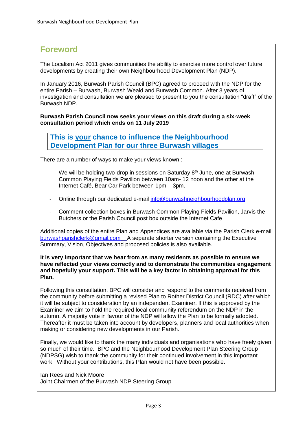# **Foreword**

The Localism Act 2011 gives communities the ability to exercise more control over future developments by creating their own Neighbourhood Development Plan (NDP).

In January 2016, Burwash Parish Council (BPC) agreed to proceed with the NDP for the entire Parish – Burwash, Burwash Weald and Burwash Common. After 3 years of investigation and consultation we are pleased to present to you the consultation "draft" of the Burwash NDP.

**Burwash Parish Council now seeks your views on this draft during a six-week consultation period which ends on 11 July 2019**

**This is your chance to influence the Neighbourhood Development Plan for our three Burwash villages**

There are a number of ways to make your views known :

- We will be holding two-drop in sessions on Saturday  $8<sup>th</sup>$  June, one at Burwash Common Playing Fields Pavilion between 10am- 12 noon and the other at the Internet Café, Bear Car Park between 1pm – 3pm.
- Online through our dedicated e-mail [info@burwashneighbourhoodplan.org](mailto:admin@burwashneighbourhoodplan.org)
- Comment collection boxes in Burwash Common Playing Fields Pavilion, Jarvis the Butchers or the Parish Council post box outside the Internet Cafe

Additional copies of the entire Plan and Appendices are available via the Parish Clerk e-mail [burwashparishclerk@gmail.com](mailto:burwashparishclerk@gmail.com) A separate shorter version containing the Executive Summary, Vision, Objectives and proposed policies is also available.

**It is very important that we hear from as many residents as possible to ensure we have reflected your views correctly and to demonstrate the communities engagement and hopefully your support. This will be a key factor in obtaining approval for this Plan.**

Following this consultation, BPC will consider and respond to the comments received from the community before submitting a revised Plan to Rother District Council (RDC) after which it will be subject to consideration by an independent Examiner. If this is approved by the Examiner we aim to hold the required local community referendum on the NDP in the autumn. A majority vote in favour of the NDP will allow the Plan to be formally adopted. Thereafter it must be taken into account by developers, planners and local authorities when making or considering new developments in our Parish.

Finally, we would like to thank the many individuals and organisations who have freely given so much of their time. BPC and the Neighbourhood Development Plan Steering Group (NDPSG) wish to thank the community for their continued involvement in this important work. Without your contributions, this Plan would not have been possible.

Ian Rees and Nick Moore Joint Chairmen of the Burwash NDP Steering Group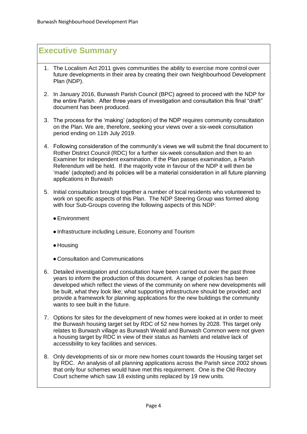# **Executive Summary**

- 1. The Localism Act 2011 gives communities the ability to exercise more control over future developments in their area by creating their own Neighbourhood Development Plan (NDP).
- 2. In January 2016, Burwash Parish Council (BPC) agreed to proceed with the NDP for the entire Parish. After three years of investigation and consultation this final "draft" document has been produced.
- 3. The process for the 'making' (adoption) of the NDP requires community consultation on the Plan. We are, therefore, seeking your views over a six-week consultation period ending on 11th July 2019.
- 4. Following consideration of the community's views we will submit the final document to Rother District Council (RDC) for a further six-week consultation and then to an Examiner for independent examination. If the Plan passes examination, a Parish Referendum will be held. If the majority vote in favour of the NDP it will then be 'made' (adopted) and its policies will be a material consideration in all future planning applications in Burwash
- 5. Initial consultation brought together a number of local residents who volunteered to work on specific aspects of this Plan. The NDP Steering Group was formed along with four Sub-Groups covering the following aspects of this NDP:
	- ●Environment
	- ●Infrastructure including Leisure, Economy and Tourism
	- ●Housing
	- ●Consultation and Communications
- 6. Detailed investigation and consultation have been carried out over the past three years to inform the production of this document. A range of policies has been developed which reflect the views of the community on where new developments will be built, what they look like; what supporting infrastructure should be provided; and provide a framework for planning applications for the new buildings the community wants to see built in the future.
- 7. Options for sites for the development of new homes were looked at in order to meet the Burwash housing target set by RDC of 52 new homes by 2028. This target only relates to Burwash village as Burwash Weald and Burwash Common were not given a housing target by RDC in view of their status as hamlets and relative lack of accessibility to key facilities and services.
- 8. Only developments of six or more new homes count towards the Housing target set by RDC. An analysis of all planning applications across the Parish since 2002 shows that only four schemes would have met this requirement. One is the Old Rectory Court scheme which saw 18 existing units replaced by 19 new units.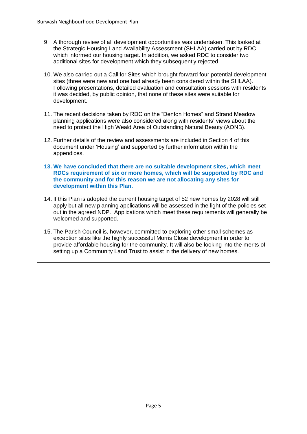- 9. A thorough review of all development opportunities was undertaken. This looked at the Strategic Housing Land Availability Assessment (SHLAA) carried out by RDC which informed our housing target. In addition, we asked RDC to consider two additional sites for development which they subsequently rejected.
- 10. We also carried out a Call for Sites which brought forward four potential development sites (three were new and one had already been considered within the SHLAA). Following presentations, detailed evaluation and consultation sessions with residents it was decided, by public opinion, that none of these sites were suitable for development.
- 11. The recent decisions taken by RDC on the "Denton Homes" and Strand Meadow planning applications were also considered along with residents' views about the need to protect the High Weald Area of Outstanding Natural Beauty (AONB).
- 12. Further details of the review and assessments are included in Section 4 of this document under 'Housing' and supported by further information within the appendices.
- **13. We have concluded that there are no suitable development sites, which meet RDCs requirement of six or more homes, which will be supported by RDC and the community and for this reason we are not allocating any sites for development within this Plan.**
- 14. If this Plan is adopted the current housing target of 52 new homes by 2028 will still apply but all new planning applications will be assessed in the light of the policies set out in the agreed NDP. Applications which meet these requirements will generally be welcomed and supported.
- 15. The Parish Council is, however, committed to exploring other small schemes as exception sites like the highly successful Morris Close development in order to provide affordable housing for the community. It will also be looking into the merits of setting up a Community Land Trust to assist in the delivery of new homes.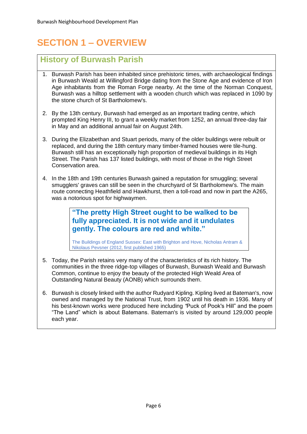# **SECTION 1 – OVERVIEW**

# **History of Burwash Parish**

- 1. Burwash Parish has been inhabited since prehistoric times, with archaeological findings in Burwash Weald at Willingford Bridge dating from the Stone Age and evidence of Iron Age inhabitants from the Roman Forge nearby. At the time of the Norman Conquest, Burwash was a hilltop settlement with a wooden church which was replaced in 1090 by the stone church of St Bartholomew's.
- 2. By the 13th century, Burwash had emerged as an important trading centre, which prompted King Henry III, to grant a weekly market from 1252, an annual three-day fair in May and an additional annual fair on August 24th.
- 3. During the Elizabethan and Stuart periods, many of the older buildings were rebuilt or replaced, and during the 18th century many timber-framed houses were tile-hung. Burwash still has an exceptionally high proportion of medieval buildings in its High Street. The Parish has 137 listed buildings, with most of those in the High Street Conservation area.
- 4. In the 18th and 19th centuries Burwash gained a reputation for smuggling; several smugglers' graves can still be seen in the churchyard of St Bartholomew's. The main route connecting Heathfield and Hawkhurst, then a toll-road and now in part the A265, was a notorious spot for highwaymen.

**"The pretty High Street ought to be walked to be fully appreciated. It is not wide and it undulates gently. The colours are red and white."**

The Buildings of England Sussex: East with Brighton and Hove, Nicholas Antram & Nikolaus Pevsner (2012, first published 1965)

- 5. Today, the Parish retains very many of the characteristics of its rich history. The communities in the three ridge-top villages of Burwash, Burwash Weald and Burwash Common, continue to enjoy the beauty of the protected High Weald Area of Outstanding Natural Beauty (AONB) which surrounds them.
- 6. Burwash is closely linked with the author Rudyard Kipling. Kipling lived at Bateman's, now owned and managed by the National Trust, from 1902 until his death in 1936. Many of his best-known works were produced here including *"*Puck of Pook's Hill" and the poem "The Land" which is about Batemans. Bateman's is visited by around 129,000 people each year.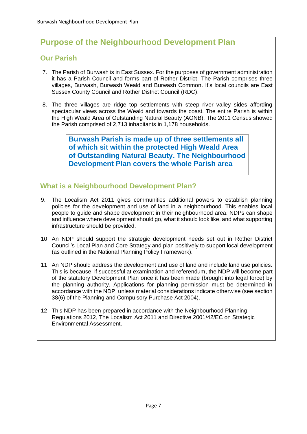# **Purpose of the Neighbourhood Development Plan**

### **Our Parish**

- 7. The Parish of Burwash is in East Sussex. For the purposes of government administration it has a Parish Council and forms part of Rother District. The Parish comprises three villages, Burwash, Burwash Weald and Burwash Common. It's local councils are East Sussex County Council and Rother District Council (RDC).
- 8. The three villages are ridge top settlements with steep river valley sides affording spectacular views across the Weald and towards the coast. The entire Parish is within the High Weald Area of Outstanding Natural Beauty (AONB). The 2011 Census showed the Parish comprised of 2,713 inhabitants in 1,178 households.

**Burwash Parish is made up of three settlements all of which sit within the protected High Weald Area of Outstanding Natural Beauty. The Neighbourhood Development Plan covers the whole Parish area**

# **What is a Neighbourhood Development Plan?**

- 9. The Localism Act 2011 gives communities additional powers to establish planning policies for the development and use of land in a neighbourhood. This enables local people to guide and shape development in their neighbourhood area. NDPs can shape and influence where development should go, what it should look like, and what supporting infrastructure should be provided.
- 10. An NDP should support the strategic development needs set out in Rother District Council's Local Plan and Core Strategy and plan positively to support local development (as outlined in the National Planning Policy Framework).
- 11. An NDP should address the development and use of land and include land use policies. This is because, if successful at examination and referendum, the NDP will become part of the statutory Development Plan once it has been made (brought into legal force) by the planning authority. Applications for planning permission must be determined in accordance with the NDP, unless material considerations indicate otherwise (see section 38(6) of the Planning and Compulsory Purchase Act 2004).
- 12. This NDP has been prepared in accordance with the Neighbourhood Planning Regulations 2012, The Localism Act 2011 and Directive 2001/42/EC on Strategic Environmental Assessment.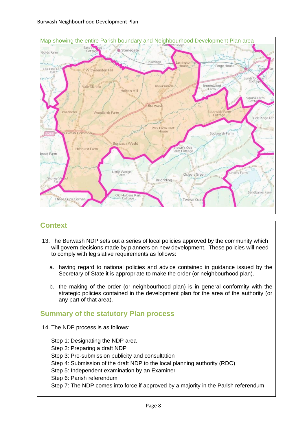

# **Context**

- 13. The Burwash NDP sets out a series of local policies approved by the community which will govern decisions made by planners on new development. These policies will need to comply with legislative requirements as follows:
	- a. having regard to national policies and advice contained in guidance issued by the Secretary of State it is appropriate to make the order (or neighbourhood plan).
	- b. the making of the order (or neighbourhood plan) is in general conformity with the strategic policies contained in the development plan for the area of the authority (or any part of that area).

# **Summary of the statutory Plan process**

- 14. The NDP process is as follows:
	- Step 1: Designating the NDP area
	- Step 2: Preparing a draft NDP
	- Step 3: Pre-submission publicity and consultation
	- Step 4: Submission of the draft NDP to the local planning authority (RDC)
	- Step 5: Independent examination by an Examiner
	- Step 6: Parish referendum
	- Step 7: The NDP comes into force if approved by a majority in the Parish referendum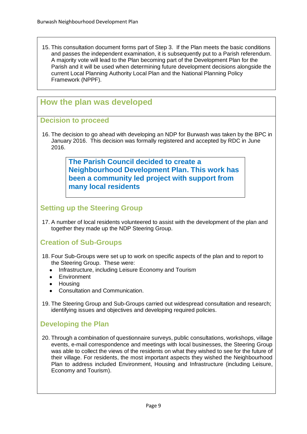15. This consultation document forms part of Step 3. If the Plan meets the basic conditions and passes the independent examination, it is subsequently put to a Parish referendum. A majority vote will lead to the Plan becoming part of the Development Plan for the Parish and it will be used when determining future development decisions alongside the current Local Planning Authority Local Plan and the National Planning Policy Framework (NPPF).

# **How the plan was developed**

#### **Decision to proceed**

16. The decision to go ahead with developing an NDP for Burwash was taken by the BPC in January 2016. This decision was formally registered and accepted by RDC in June 2016.

> **The Parish Council decided to create a Neighbourhood Development Plan. This work has been a community led project with support from many local residents**

# **Setting up the Steering Group**

17. A number of local residents volunteered to assist with the development of the plan and together they made up the NDP Steering Group.

# **Creation of Sub-Groups**

- 18. Four Sub-Groups were set up to work on specific aspects of the plan and to report to the Steering Group. These were:
	- Infrastructure, including Leisure Economy and Tourism
	- **Fnvironment**
	- Housing
	- Consultation and Communication.
- 19. The Steering Group and Sub-Groups carried out widespread consultation and research; identifying issues and objectives and developing required policies.

# **Developing the Plan**

20. Through a combination of questionnaire surveys, public consultations, workshops, village events, e-mail correspondence and meetings with local businesses, the Steering Group was able to collect the views of the residents on what they wished to see for the future of their village. For residents, the most important aspects they wished the Neighbourhood Plan to address included Environment, Housing and Infrastructure (including Leisure, Economy and Tourism).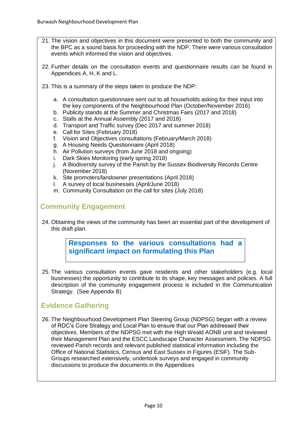- 21. The vision and objectives in this document were presented to both the community and the BPC as a sound basis for proceeding with the NDP. There were various consultation events which informed the vision and objectives.
- 22. Further details on the consultation events and questionnaire results can be found in Appendices A, H, K and L.
- 23. This is a summary of the steps taken to produce the NDP:
	- a. A consultation questionnaire sent out to all households asking for their input into the key components of the Neighbourhood Plan (October/November 2016)
	- b. Publicity stands at the Summer and Christmas Fairs (2017 and 2018)
	- c. Stalls at the Annual Assembly (2017 and 2018)
	- d. Transport and Traffic survey (Dec 2017 and summer 2018)
	- e. Call for Sites (February 2018)
	- f. Vision and Objectives consultations (February/March 2018)
	- g. A Housing Needs Questionnaire (April 2018)
	- h. Air Pollution surveys (from June 2018 and ongoing)
	- i. Dark Skies Monitoring (early spring 2018)
	- j. A Biodiversity survey of the Parish by the Sussex Biodiversity Records Centre (November 2018)
	- k. Site promoters/landowner presentations (April 2018)
	- l. A survey of local businesses (April/June 2018)
	- m. Community Consultation on the call for sites (July 2018)

# **Community Engagement**

24. Obtaining the views of the community has been an essential part of the development of this draft plan.

> **Responses to the various consultations had a significant impact on formulating this Plan**

25. The various consultation events gave residents and other stakeholders (e.g. local businesses) the opportunity to contribute to its shape, key messages and policies. A full description of the community engagement process is included in the Communication Strategy. (See Appendix B)

# **Evidence Gathering**

26. The Neighbourhood Development Plan Steering Group (NDPSG) began with a review of RDC's Core Strategy and Local Plan to ensure that our Plan addressed their objectives. Members of the NDPSG met with the High Weald AONB unit and reviewed their Management Plan and the ESCC Landscape Character Assessment. The NDPSG reviewed Parish records and relevant published statistical information including the Office of National Statistics, Census and East Sussex in Figures (ESiF). The Sub-Groups researched extensively, undertook surveys and engaged in community discussions to produce the documents in the Appendices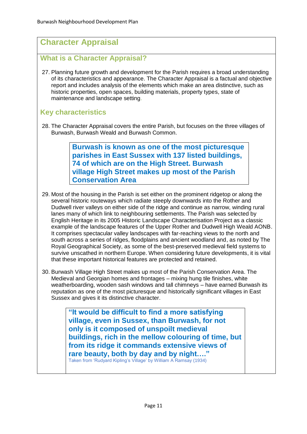# **Character Appraisal**

# **What is a Character Appraisal?**

27. Planning future growth and development for the Parish requires a broad understanding of its characteristics and appearance. The Character Appraisal is a factual and objective report and includes analysis of the elements which make an area distinctive, such as historic properties, open spaces, building materials, property types, state of maintenance and landscape setting.

# **Key characteristics**

28. The Character Appraisal covers the entire Parish, but focuses on the three villages of Burwash, Burwash Weald and Burwash Common.

> **Burwash is known as one of the most picturesque parishes in East Sussex with 137 listed buildings, 74 of which are on the High Street. Burwash village High Street makes up most of the Parish Conservation Area**

- 29. Most of the housing in the Parish is set either on the prominent ridgetop or along the several historic routeways which radiate steeply downwards into the Rother and Dudwell river valleys on either side of the ridge and continue as narrow, winding rural lanes many of which link to neighbouring settlements. The Parish was selected by English Heritage in its 2005 Historic Landscape Characterisation Project as a classic example of the landscape features of the Upper Rother and Dudwell High Weald AONB. It comprises spectacular valley landscapes with far-reaching views to the north and south across a series of ridges, floodplains and ancient woodland and, as noted by The Royal Geographical Society, as some of the best-preserved medieval field systems to survive unscathed in northern Europe. When considering future developments, it is vital that these important historical features are protected and retained.
- 30. Burwash Village High Street makes up most of the Parish Conservation Area. The Medieval and Georgian homes and frontages – mixing hung tile finishes, white weatherboarding, wooden sash windows and tall chimneys – have earned Burwash its reputation as one of the most picturesque and historically significant villages in East Sussex and gives it its distinctive character.

**"It would be difficult to find a more satisfying village, even in Sussex, than Burwash, for not only is it composed of unspoilt medieval buildings, rich in the mellow colouring of time, but from its ridge it commands extensive views of rare beauty, both by day and by night…."**  Taken from 'Rudyard Kipling's Village' by William A Ramsay (1934)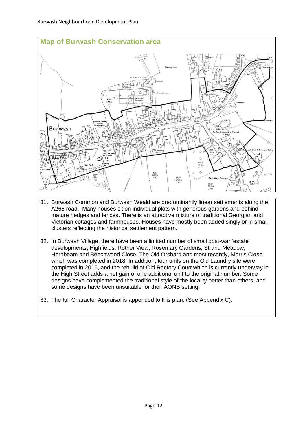

- 31. Burwash Common and Burwash Weald are predominantly linear settlements along the A265 road. Many houses sit on individual plots with generous gardens and behind mature hedges and fences. There is an attractive mixture of traditional Georgian and Victorian cottages and farmhouses. Houses have mostly been added singly or in small clusters reflecting the historical settlement pattern.
- 32. In Burwash Village, there have been a limited number of small post-war 'estate' developments, Highfields, Rother View, Rosemary Gardens, Strand Meadow, Hornbeam and Beechwood Close, The Old Orchard and most recently, Morris Close which was completed in 2018. In addition, four units on the Old Laundry site were completed in 2016, and the rebuild of Old Rectory Court which is currently underway in the High Street adds a net gain of one additional unit to the original number. Some designs have complemented the traditional style of the locality better than others, and some designs have been unsuitable for their AONB setting.
- 33. The full Character Appraisal is appended to this plan. (See Appendix C).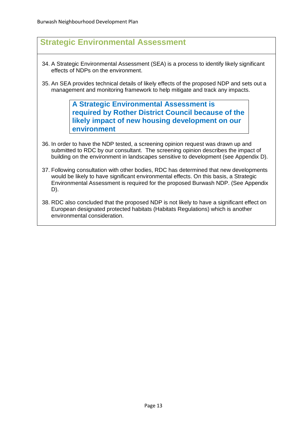# **Strategic Environmental Assessment**

- 34. A Strategic Environmental Assessment (SEA) is a process to identify likely significant effects of NDPs on the environment.
- 35. An SEA provides technical details of likely effects of the proposed NDP and sets out a management and monitoring framework to help mitigate and track any impacts.

**A Strategic Environmental Assessment is required by Rother District Council because of the likely impact of new housing development on our environment**

- 36. In order to have the NDP tested, a screening opinion request was drawn up and submitted to RDC by our consultant. The screening opinion describes the impact of building on the environment in landscapes sensitive to development (see Appendix D).
- 37. Following consultation with other bodies, RDC has determined that new developments would be likely to have significant environmental effects. On this basis, a Strategic Environmental Assessment is required for the proposed Burwash NDP. (See Appendix D).
- 38. RDC also concluded that the proposed NDP is not likely to have a significant effect on European designated protected habitats (Habitats Regulations) which is another environmental consideration.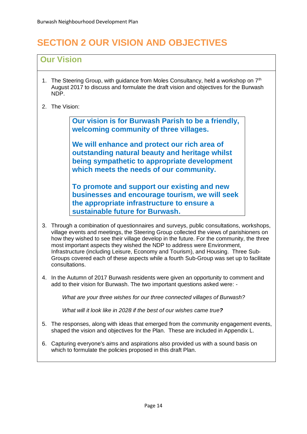# **SECTION 2 OUR VISION AND OBJECTIVES**

# **Our Vision**

- 1. The Steering Group, with guidance from Moles Consultancy, held a workshop on  $7<sup>th</sup>$ August 2017 to discuss and formulate the draft vision and objectives for the Burwash NDP.
- 2. The Vision:

**Our vision is for Burwash Parish to be a friendly, welcoming community of three villages.**

**We will enhance and protect our rich area of outstanding natural beauty and heritage whilst being sympathetic to appropriate development which meets the needs of our community.**

**To promote and support our existing and new businesses and encourage tourism, we will seek the appropriate infrastructure to ensure a sustainable future for Burwash.**

- 3. Through a combination of questionnaires and surveys, public consultations, workshops, village events and meetings, the Steering Group collected the views of parishioners on how they wished to see their village develop in the future. For the community, the three most important aspects they wished the NDP to address were Environment, Infrastructure (including Leisure, Economy and Tourism), and Housing. Three Sub-Groups covered each of these aspects while a fourth Sub-Group was set up to facilitate consultations.
- 4. In the Autumn of 2017 Burwash residents were given an opportunity to comment and add to their vision for Burwash. The two important questions asked were: -

*What are your three wishes for our three connected villages of Burwash?*

*What will it look like in 2028 if the best of our wishes came true?*

- 5. The responses, along with ideas that emerged from the community engagement events, shaped the vision and objectives for the Plan. These are included in Appendix L.
- 6. Capturing everyone's aims and aspirations also provided us with a sound basis on which to formulate the policies proposed in this draft Plan.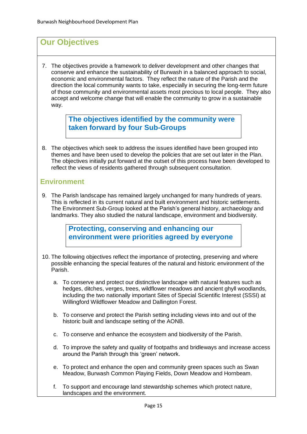# **Our Objectives**

7. The objectives provide a framework to deliver development and other changes that conserve and enhance the sustainability of Burwash in a balanced approach to social, economic and environmental factors. They reflect the nature of the Parish and the direction the local community wants to take, especially in securing the long-term future of those community and environmental assets most precious to local people. They also accept and welcome change that will enable the community to grow in a sustainable way.

> **The objectives identified by the community were taken forward by four Sub-Groups**

8. The objectives which seek to address the issues identified have been grouped into themes and have been used to develop the policies that are set out later in the Plan. The objectives initially put forward at the outset of this process have been developed to reflect the views of residents gathered through subsequent consultation.

# **Environment**

9. The Parish landscape has remained largely unchanged for many hundreds of years. This is reflected in its current natural and built environment and historic settlements. The Environment Sub-Group looked at the Parish's general history, archaeology and landmarks. They also studied the natural landscape, environment and biodiversity.

> **Protecting, conserving and enhancing our environment were priorities agreed by everyone**

- 10. The following objectives reflect the importance of protecting, preserving and where possible enhancing the special features of the natural and historic environment of the Parish.
	- a. To conserve and protect our distinctive landscape with natural features such as hedges, ditches, verges, trees, wildflower meadows and ancient ghyll woodlands, including the two nationally important Sites of Special Scientific Interest (SSSI) at Willingford Wildflower Meadow and Dallington Forest.
	- b. To conserve and protect the Parish setting including views into and out of the historic built and landscape setting of the AONB.
	- c. To conserve and enhance the ecosystem and biodiversity of the Parish.
	- d. To improve the safety and quality of footpaths and bridleways and increase access around the Parish through this 'green' network.
	- e. To protect and enhance the open and community green spaces such as Swan Meadow, Burwash Common Playing Fields, Down Meadow and Hornbeam.
	- f. To support and encourage land stewardship schemes which protect nature, landscapes and the environment.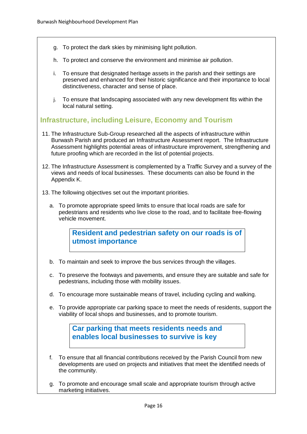- g. To protect the dark skies by minimising light pollution.
- h. To protect and conserve the environment and minimise air pollution.
- i. To ensure that designated heritage assets in the parish and their settings are preserved and enhanced for their historic significance and their importance to local distinctiveness, character and sense of place.
- j. To ensure that landscaping associated with any new development fits within the local natural setting.

# **Infrastructure, including Leisure, Economy and Tourism**

- 11. The Infrastructure Sub-Group researched all the aspects of infrastructure within Burwash Parish and produced an Infrastructure Assessment report. The Infrastructure Assessment highlights potential areas of infrastructure improvement, strengthening and future proofing which are recorded in the list of potential projects.
- 12. The Infrastructure Assessment is complemented by a Traffic Survey and a survey of the views and needs of local businesses. These documents can also be found in the Appendix K.
- 13. The following objectives set out the important priorities.
	- a. To promote appropriate speed limits to ensure that local roads are safe for pedestrians and residents who live close to the road, and to facilitate free-flowing vehicle movement.

**Resident and pedestrian safety on our roads is of utmost importance**

- b. To maintain and seek to improve the bus services through the villages.
- c. To preserve the footways and pavements, and ensure they are suitable and safe for pedestrians, including those with mobility issues.
- d. To encourage more sustainable means of travel, including cycling and walking.
- e. To provide appropriate car parking space to meet the needs of residents, support the viability of local shops and businesses, and to promote tourism.

**Car parking that meets residents needs and enables local businesses to survive is key**

- f. To ensure that all financial contributions received by the Parish Council from new developments are used on projects and initiatives that meet the identified needs of the community.
- g. To promote and encourage small scale and appropriate tourism through active marketing initiatives.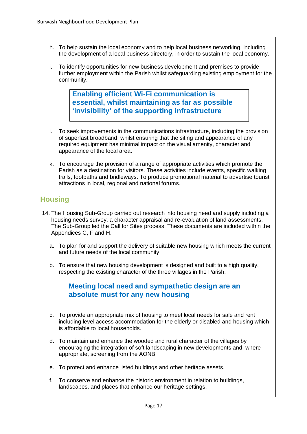- h. To help sustain the local economy and to help local business networking, including the development of a local business directory, in order to sustain the local economy.
- i. To identify opportunities for new business development and premises to provide further employment within the Parish whilst safeguarding existing employment for the community.

**Enabling efficient Wi-Fi communication is essential, whilst maintaining as far as possible 'invisibility' of the supporting infrastructure**

- j. To seek improvements in the communications infrastructure, including the provision of superfast broadband, whilst ensuring that the siting and appearance of any required equipment has minimal impact on the visual amenity, character and appearance of the local area.
- k. To encourage the provision of a range of appropriate activities which promote the Parish as a destination for visitors. These activities include events, specific walking trails, footpaths and bridleways. To produce promotional material to advertise tourist attractions in local, regional and national forums.

# **Housing**

- 14. The Housing Sub-Group carried out research into housing need and supply including a housing needs survey, a character appraisal and re-evaluation of land assessments. The Sub-Group led the Call for Sites process. These documents are included within the Appendices C, F and H.
	- a. To plan for and support the delivery of suitable new housing which meets the current and future needs of the local community.
	- b. To ensure that new housing development is designed and built to a high quality, respecting the existing character of the three villages in the Parish.

**Meeting local need and sympathetic design are an absolute must for any new housing**

- c. To provide an appropriate mix of housing to meet local needs for sale and rent including level access accommodation for the elderly or disabled and housing which is affordable to local households.
- d. To maintain and enhance the wooded and rural character of the villages by encouraging the integration of soft landscaping in new developments and, where appropriate, screening from the AONB.
- e. To protect and enhance listed buildings and other heritage assets.
- f. To conserve and enhance the historic environment in relation to buildings, landscapes, and places that enhance our heritage settings.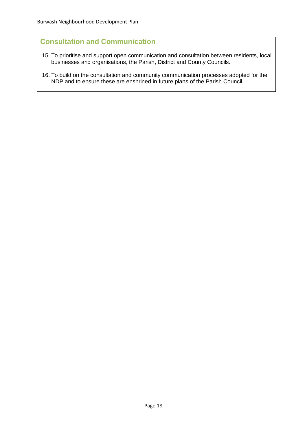# **Consultation and Communication**

- 15. To prioritise and support open communication and consultation between residents, local businesses and organisations, the Parish, District and County Councils.
- 16. To build on the consultation and community communication processes adopted for the NDP and to ensure these are enshrined in future plans of the Parish Council.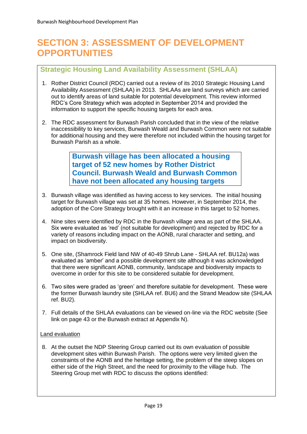# **SECTION 3: ASSESSMENT OF DEVELOPMENT OPPORTUNITIES**

# **Strategic Housing Land Availability Assessment (SHLAA)**

- 1. Rother District Council (RDC) carried out a review of its 2010 Strategic Housing Land Availability Assessment (SHLAA) in 2013. SHLAAs are land surveys which are carried out to identify areas of land suitable for potential development. This review informed RDC's Core Strategy which was adopted in September 2014 and provided the information to support the specific housing targets for each area.
- 2. The RDC assessment for Burwash Parish concluded that in the view of the relative inaccessibility to key services, Burwash Weald and Burwash Common were not suitable for additional housing and they were therefore not included within the housing target for Burwash Parish as a whole.

**Burwash village has been allocated a housing target of 52 new homes by Rother District Council. Burwash Weald and Burwash Common have not been allocated any housing targets**

- 3. Burwash village was identified as having access to key services. The initial housing target for Burwash village was set at 35 homes. However, in September 2014, the adoption of the Core Strategy brought with it an increase in this target to 52 homes.
- 4. Nine sites were identified by RDC in the Burwash village area as part of the SHLAA. Six were evaluated as 'red' (not suitable for development) and rejected by RDC for a variety of reasons including impact on the AONB, rural character and setting, and impact on biodiversity.
- 5. One site, (Shamrock Field land NW of 40-49 Shrub Lane SHLAA ref. BU12a) was evaluated as 'amber' and a possible development site although it was acknowledged that there were significant AONB, community, landscape and biodiversity impacts to overcome in order for this site to be considered suitable for development.
- 6. Two sites were graded as 'green' and therefore suitable for development. These were the former Burwash laundry site (SHLAA ref. BU6) and the Strand Meadow site (SHLAA ref. BU2).
- 7. Full details of the SHLAA evaluations can be viewed on-line via the RDC website (See link on page 43 or the Burwash extract at Appendix N).

#### Land evaluation

8. At the outset the NDP Steering Group carried out its own evaluation of possible development sites within Burwash Parish. The options were very limited given the constraints of the AONB and the heritage setting, the problem of the steep slopes on either side of the High Street, and the need for proximity to the village hub. The Steering Group met with RDC to discuss the options identified: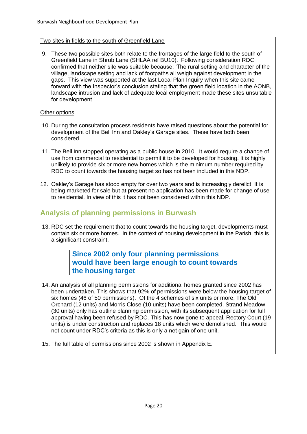#### Two sites in fields to the south of Greenfield Lane

9. These two possible sites both relate to the frontages of the large field to the south of Greenfield Lane in Shrub Lane (SHLAA ref BU10). Following consideration RDC confirmed that neither site was suitable because: 'The rural setting and character of the village, landscape setting and lack of footpaths all weigh against development in the gaps. This view was supported at the last Local Plan Inquiry when this site came forward with the Inspector's conclusion stating that the green field location in the AONB, landscape intrusion and lack of adequate local employment made these sites unsuitable for development.'

#### Other options

- 10. During the consultation process residents have raised questions about the potential for development of the Bell Inn and Oakley's Garage sites. These have both been considered.
- 11. The Bell Inn stopped operating as a public house in 2010. It would require a change of use from commercial to residential to permit it to be developed for housing. It is highly unlikely to provide six or more new homes which is the minimum number required by RDC to count towards the housing target so has not been included in this NDP.
- 12. Oakley's Garage has stood empty for over two years and is increasingly derelict. It is being marketed for sale but at present no application has been made for change of use to residential. In view of this it has not been considered within this NDP.

# **Analysis of planning permissions in Burwash**

13. RDC set the requirement that to count towards the housing target, developments must contain six or more homes. In the context of housing development in the Parish, this is a significant constraint.

> **Since 2002 only four planning permissions would have been large enough to count towards the housing target**

- 14. An analysis of all planning permissions for additional homes granted since 2002 has been undertaken. This shows that 92% of permissions were below the housing target of six homes (46 of 50 permissions). Of the 4 schemes of six units or more, The Old Orchard (12 units) and Morris Close (10 units) have been completed. Strand Meadow (30 units) only has outline planning permission, with its subsequent application for full approval having been refused by RDC. This has now gone to appeal. Rectory Court (19 units) is under construction and replaces 18 units which were demolished. This would not count under RDC's criteria as this is only a net gain of one unit.
- 15. The full table of permissions since 2002 is shown in Appendix E.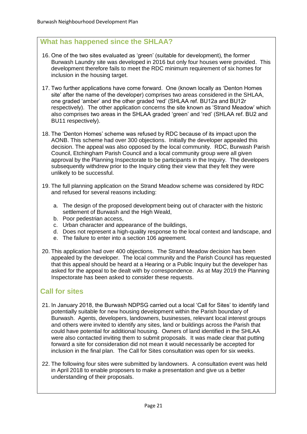# **What has happened since the SHLAA?**

- 16. One of the two sites evaluated as 'green' (suitable for development), the former Burwash Laundry site was developed in 2016 but only four houses were provided. This development therefore fails to meet the RDC minimum requirement of six homes for inclusion in the housing target.
- 17. Two further applications have come forward. One (known locally as 'Denton Homes site' after the name of the developer) comprises two areas considered in the SHLAA, one graded 'amber' and the other graded 'red' (SHLAA ref. BU12a and BU12r respectively). The other application concerns the site known as 'Strand Meadow' which also comprises two areas in the SHLAA graded 'green' and 'red' (SHLAA ref. BU2 and BU11 respectively).
- 18. The 'Denton Homes' scheme was refused by RDC because of its impact upon the AONB. This scheme had over 300 objections. Initially the developer appealed this decision. The appeal was also opposed by the local community. RDC, Burwash Parish Council, Etchingham Parish Council and a local community group were all given approval by the Planning Inspectorate to be participants in the Inquiry. The developers subsequently withdrew prior to the Inquiry citing their view that they felt they were unlikely to be successful.
- 19. The full planning application on the Strand Meadow scheme was considered by RDC and refused for several reasons including:
	- a. The design of the proposed development being out of character with the historic settlement of Burwash and the High Weald,
	- b. Poor pedestrian access,
	- c. Urban character and appearance of the buildings,
	- d. Does not represent a high-quality response to the local context and landscape, and
	- e. The failure to enter into a section 106 agreement.
- 20. This application had over 400 objections. The Strand Meadow decision has been appealed by the developer. The local community and the Parish Council has requested that this appeal should be heard at a Hearing or a Public Inquiry but the developer has asked for the appeal to be dealt with by correspondence. As at May 2019 the Planning Inspectorate has been asked to consider these requests.

# **Call for sites**

- 21. In January 2018, the Burwash NDPSG carried out a local 'Call for Sites' to identify land potentially suitable for new housing development within the Parish boundary of Burwash. Agents, developers, landowners, businesses, relevant local interest groups and others were invited to identify any sites, land or buildings across the Parish that could have potential for additional housing. Owners of land identified in the SHLAA were also contacted inviting them to submit proposals. It was made clear that putting forward a site for consideration did not mean it would necessarily be accepted for inclusion in the final plan. The Call for Sites consultation was open for six weeks.
- 22. The following four sites were submitted by landowners. A consultation event was held in April 2018 to enable proposers to make a presentation and give us a better understanding of their proposals.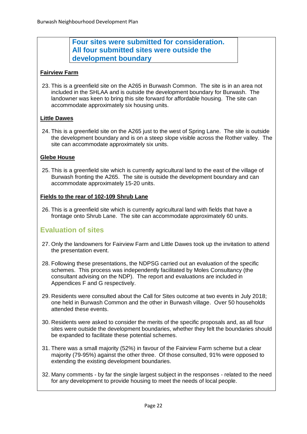# **Four sites were submitted for consideration. All four submitted sites were outside the development boundary**

#### **Fairview Farm**

23. This is a greenfield site on the A265 in Burwash Common. The site is in an area not included in the SHLAA and is outside the development boundary for Burwash. The landowner was keen to bring this site forward for affordable housing. The site can accommodate approximately six housing units.

#### **Little Dawes**

24. This is a greenfield site on the A265 just to the west of Spring Lane. The site is outside the development boundary and is on a steep slope visible across the Rother valley. The site can accommodate approximately six units.

#### **Glebe House**

25. This is a greenfield site which is currently agricultural land to the east of the village of Burwash fronting the A265. The site is outside the development boundary and can accommodate approximately 15-20 units.

#### **Fields to the rear of 102-109 Shrub Lane**

26. This is a greenfield site which is currently agricultural land with fields that have a frontage onto Shrub Lane. The site can accommodate approximately 60 units.

# **Evaluation of sites**

- 27. Only the landowners for Fairview Farm and Little Dawes took up the invitation to attend the presentation event.
- 28. Following these presentations, the NDPSG carried out an evaluation of the specific schemes. This process was independently facilitated by Moles Consultancy (the consultant advising on the NDP). The report and evaluations are included in Appendices F and G respectively.
- 29. Residents were consulted about the Call for Sites outcome at two events in July 2018; one held in Burwash Common and the other in Burwash village. Over 50 households attended these events.
- 30. Residents were asked to consider the merits of the specific proposals and, as all four sites were outside the development boundaries, whether they felt the boundaries should be expanded to facilitate these potential schemes.
- 31. There was a small majority (52%) in favour of the Fairview Farm scheme but a clear majority (79-95%) against the other three. Of those consulted, 91% were opposed to extending the existing development boundaries.
- 32. Many comments by far the single largest subject in the responses related to the need for any development to provide housing to meet the needs of local people.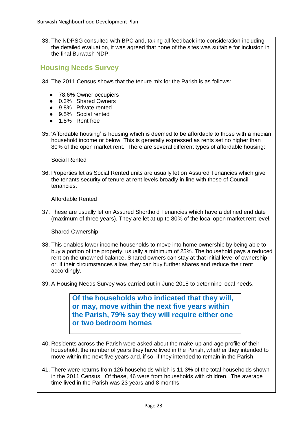33. The NDPSG consulted with BPC and, taking all feedback into consideration including the detailed evaluation, it was agreed that none of the sites was suitable for inclusion in the final Burwash NDP.

# **Housing Needs Survey**

- 34. The 2011 Census shows that the tenure mix for the Parish is as follows:
	- 78.6% Owner occupiers
	- 0.3% Shared Owners
	- 9.8% Private rented
	- 9.5% Social rented
	- 1.8% Rent free
- 35. 'Affordable housing' is housing which is deemed to be affordable to those with a median household income or below. This is generally expressed as rents set no higher than 80% of the open market rent. There are several different types of affordable housing:

Social Rented

36. Properties let as Social Rented units are usually let on Assured Tenancies which give the tenants security of tenure at rent levels broadly in line with those of Council tenancies.

Affordable Rented

37. These are usually let on Assured Shorthold Tenancies which have a defined end date (maximum of three years). They are let at up to 80% of the local open market rent level.

Shared Ownership

- 38. This enables lower income households to move into home ownership by being able to buy a portion of the property, usually a minimum of 25%. The household pays a reduced rent on the unowned balance. Shared owners can stay at that initial level of ownership or, if their circumstances allow, they can buy further shares and reduce their rent accordingly.
- 39. A Housing Needs Survey was carried out in June 2018 to determine local needs.

**Of the households who indicated that they will, or may, move within the next five years within the Parish, 79% say they will require either one or two bedroom homes**

- 40. Residents across the Parish were asked about the make-up and age profile of their household, the number of years they have lived in the Parish, whether they intended to move within the next five years and, if so, if they intended to remain in the Parish.
- 41. There were returns from 126 households which is 11.3% of the total households shown in the 2011 Census. Of these, 46 were from households with children. The average time lived in the Parish was 23 years and 8 months.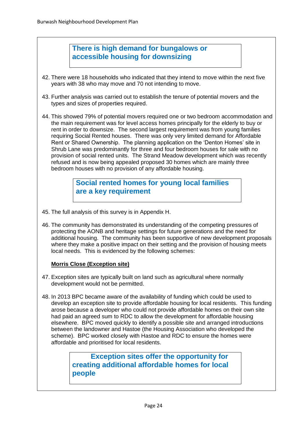# **There is high demand for bungalows or accessible housing for downsizing**

- 42. There were 18 households who indicated that they intend to move within the next five years with 38 who may move and 70 not intending to move.
- 43. Further analysis was carried out to establish the tenure of potential movers and the types and sizes of properties required.
- 44. This showed 79% of potential movers required one or two bedroom accommodation and the main requirement was for level access homes principally for the elderly to buy or rent in order to downsize. The second largest requirement was from young families requiring Social Rented houses. There was only very limited demand for Affordable Rent or Shared Ownership. The planning application on the 'Denton Homes' site in Shrub Lane was predominantly for three and four bedroom houses for sale with no provision of social rented units. The Strand Meadow development which was recently refused and is now being appealed proposed 30 homes which are mainly three bedroom houses with no provision of any affordable housing.

# **Social rented homes for young local families are a key requirement**

- 45. The full analysis of this survey is in Appendix H.
- 46. The community has demonstrated its understanding of the competing pressures of protecting the AONB and heritage settings for future generations and the need for additional housing. The community has been supportive of new development proposals where they make a positive impact on their setting and the provision of housing meets local needs. This is evidenced by the following schemes:

#### **Morris Close (Exception site)**

- 47. Exception sites are typically built on land such as agricultural where normally development would not be permitted.
- 48. In 2013 BPC became aware of the availability of funding which could be used to develop an exception site to provide affordable housing for local residents. This funding arose because a developer who could not provide affordable homes on their own site had paid an agreed sum to RDC to allow the development for affordable housing elsewhere. BPC moved quickly to identify a possible site and arranged introductions between the landowner and Hastoe (the Housing Association who developed the scheme). BPC worked closely with Hastoe and RDC to ensure the homes were affordable and prioritised for local residents.

# **Exception sites offer the opportunity for creating additional affordable homes for local people**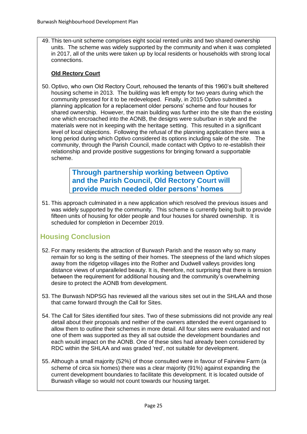49. This ten-unit scheme comprises eight social rented units and two shared ownership units. The scheme was widely supported by the community and when it was completed in 2017, all of the units were taken up by local residents or households with strong local connections.

#### **Old Rectory Court**

50. Optivo, who own Old Rectory Court, rehoused the tenants of this 1960's built sheltered housing scheme in 2013. The building was left empty for two years during which the community pressed for it to be redeveloped. Finally, in 2015 Optivo submitted a planning application for a replacement older persons' scheme and four houses for shared ownership. However, the main building was further into the site than the existing one which encroached into the AONB, the designs were suburban in style and the materials were not in keeping with the heritage setting. This resulted in a significant level of local objections. Following the refusal of the planning application there was a long period during which Optivo considered its options including sale of the site. The community, through the Parish Council, made contact with Optivo to re-establish their relationship and provide positive suggestions for bringing forward a supportable scheme.

> **Through partnership working between Optivo and the Parish Council, Old Rectory Court will provide much needed older persons' homes**

51. This approach culminated in a new application which resolved the previous issues and was widely supported by the community. This scheme is currently being built to provide fifteen units of housing for older people and four houses for shared ownership. It is scheduled for completion in December 2019.

# **Housing Conclusion**

- 52. For many residents the attraction of Burwash Parish and the reason why so many remain for so long is the setting of their homes. The steepness of the land which slopes away from the ridgetop villages into the Rother and Dudwell valleys provides long distance views of unparalleled beauty. It is, therefore, not surprising that there is tension between the requirement for additional housing and the community's overwhelming desire to protect the AONB from development.
- 53. The Burwash NDPSG has reviewed all the various sites set out in the SHLAA and those that came forward through the Call for Sites.
- 54. The Call for Sites identified four sites. Two of these submissions did not provide any real detail about their proposals and neither of the owners attended the event organised to allow them to outline their schemes in more detail. All four sites were evaluated and not one of them was supported as they all sat outside the development boundaries and each would impact on the AONB. One of these sites had already been considered by RDC within the SHLAA and was graded 'red', not suitable for development.
- 55. Although a small majority (52%) of those consulted were in favour of Fairview Farm (a scheme of circa six homes) there was a clear majority (91%) against expanding the current development boundaries to facilitate this development. It is located outside of Burwash village so would not count towards our housing target.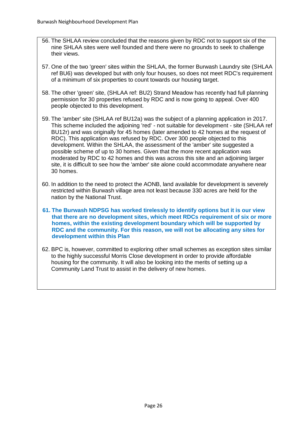- 56. The SHLAA review concluded that the reasons given by RDC not to support six of the nine SHLAA sites were well founded and there were no grounds to seek to challenge their views.
- 57. One of the two 'green' sites within the SHLAA, the former Burwash Laundry site (SHLAA ref BU6) was developed but with only four houses, so does not meet RDC's requirement of a minimum of six properties to count towards our housing target.
- 58. The other 'green' site, (SHLAA ref: BU2) Strand Meadow has recently had full planning permission for 30 properties refused by RDC and is now going to appeal. Over 400 people objected to this development.
- 59. The 'amber' site (SHLAA ref BU12a) was the subject of a planning application in 2017. This scheme included the adjoining 'red' - not suitable for development - site (SHLAA ref BU12r) and was originally for 45 homes (later amended to 42 homes at the request of RDC). This application was refused by RDC. Over 300 people objected to this development. Within the SHLAA, the assessment of the 'amber' site suggested a possible scheme of up to 30 homes. Given that the more recent application was moderated by RDC to 42 homes and this was across this site and an adjoining larger site, it is difficult to see how the 'amber' site alone could accommodate anywhere near 30 homes.
- 60. In addition to the need to protect the AONB, land available for development is severely restricted within Burwash village area not least because 330 acres are held for the nation by the National Trust.
- **61. The Burwash NDPSG has worked tirelessly to identify options but it is our view that there are no development sites, which meet RDCs requirement of six or more homes, within the existing development boundary which will be supported by RDC and the community. For this reason, we will not be allocating any sites for development within this Plan**
- 62. BPC is, however, committed to exploring other small schemes as exception sites similar to the highly successful Morris Close development in order to provide affordable housing for the community. It will also be looking into the merits of setting up a Community Land Trust to assist in the delivery of new homes.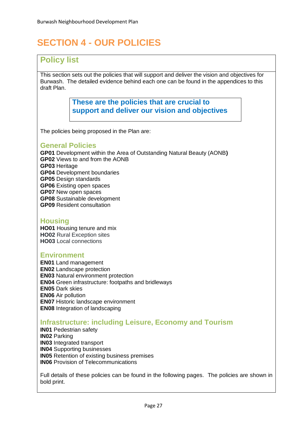# **SECTION 4 - OUR POLICIES**

# **Policy list**

This section sets out the policies that will support and deliver the vision and objectives for Burwash. The detailed evidence behind each one can be found in the appendices to this draft Plan.

> **These are the policies that are crucial to support and deliver our vision and objectives**

The policies being proposed in the Plan are:

#### **General Policies**

**GP01** Development within the Area of Outstanding Natural Beauty (AONB**) GP02** Views to and from the AONB **GP03** Heritage **GP04** Development boundaries **GP05** Design standards **GP06** Existing open spaces **GP07** New open spaces **GP08** Sustainable development **GP09** Resident consultation

# **Housing**

**HO01** Housing tenure and mix **HO02** Rural Exception sites **HO03** Local connections

### **Environment**

**EN01** Land management **EN02** Landscape protection **EN03** Natural environment protection **EN04** Green infrastructure: footpaths and bridleways **EN05** Dark skies **EN06** Air pollution **EN07** Historic landscape environment **EN08** Integration of landscaping

# **Infrastructure: including Leisure, Economy and Tourism**

**IN01** Pedestrian safety **IN02** Parking **IN03** Integrated transport **IN04** Supporting businesses **IN05** Retention of existing business premises **IN06** Provision of Telecommunications

Full details of these policies can be found in the following pages. The policies are shown in bold print.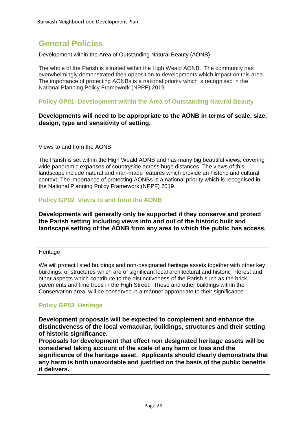# **General Policies**

Development within the Area of Outstanding Natural Beauty (AONB)

The whole of the Parish is situated within the High Weald AONB. The community has overwhelmingly demonstrated their opposition to developments which impact on this area. The importance of protecting AONBs is a national priority which is recognised in the National Planning Policy Framework (NPPF) 2019.

#### **Policy GP01 Development within the Area of Outstanding Natural Beauty**

**Developments will need to be appropriate to the AONB in terms of scale, size, design, type and sensitivity of setting.**

#### Views to and from the AONB

The Parish is set within the High Weald AONB and has many big beautiful views, covering wide panoramic expanses of countryside across huge distances. The views of this landscape include natural and man-made features which provide an historic and cultural context. The importance of protecting AONBs is a national priority which is recognised in the National Planning Policy Framework (NPPF) 2019.

#### **Policy GP02 Views to and from the AONB**

**Developments will generally only be supported if they conserve and protect the Parish setting including views into and out of the historic built and landscape setting of the AONB from any area to which the public has access.**

#### Heritage

We will protect listed buildings and non-designated heritage assets together with other key buildings, or structures which are of significant local architectural and historic interest and other aspects which contribute to the distinctiveness of the Parish such as the brick pavements and lime trees in the High Street. These and other buildings within the Conservation area, will be conserved in a manner appropriate to their significance.

### **Policy GP03 Heritage**

**Development proposals will be expected to complement and enhance the distinctiveness of the local vernacular, buildings, structures and their setting of historic significance.** 

**Proposals for development that effect non designated heritage assets will be considered taking account of the scale of any harm or loss and the significance of the heritage asset. Applicants should clearly demonstrate that any harm is both unavoidable and justified on the basis of the public benefits it delivers.**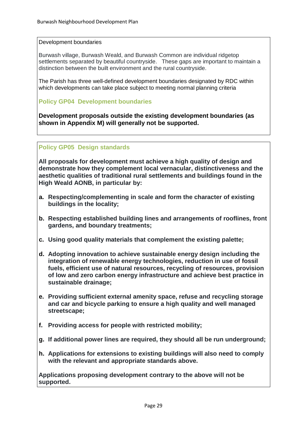#### Development boundaries

Burwash village, Burwash Weald, and Burwash Common are individual ridgetop settlements separated by beautiful countryside. These gaps are important to maintain a distinction between the built environment and the rural countryside.

The Parish has three well-defined development boundaries designated by RDC within which developments can take place subject to meeting normal planning criteria

#### **Policy GP04 Development boundaries**

**Development proposals outside the existing development boundaries (as shown in Appendix M) will generally not be supported.**

#### **Policy GP05 Design standards**

**All proposals for development must achieve a high quality of design and demonstrate how they complement local vernacular, distinctiveness and the aesthetic qualities of traditional rural settlements and buildings found in the High Weald AONB, in particular by:** 

- **a. Respecting/complementing in scale and form the character of existing buildings in the locality;**
- **b. Respecting established building lines and arrangements of rooflines, front gardens, and boundary treatments;**
- **c. Using good quality materials that complement the existing palette;**
- **d. Adopting innovation to achieve sustainable energy design including the integration of renewable energy technologies, reduction in use of fossil fuels, efficient use of natural resources, recycling of resources, provision of low and zero carbon energy infrastructure and achieve best practice in sustainable drainage;**
- **e. Providing sufficient external amenity space, refuse and recycling storage and car and bicycle parking to ensure a high quality and well managed streetscape;**
- **f. Providing access for people with restricted mobility;**
- **g. If additional power lines are required, they should all be run underground;**
- **h. Applications for extensions to existing buildings will also need to comply with the relevant and appropriate standards above.**

**Applications proposing development contrary to the above will not be supported.**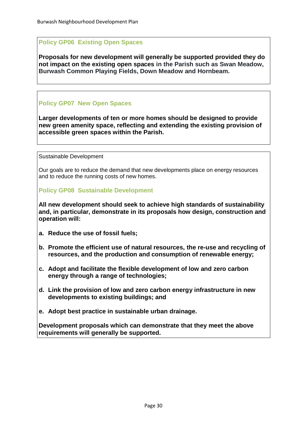### **Policy GP06 Existing Open Spaces**

**Proposals for new development will generally be supported provided they do not impact on the existing open spaces in the Parish such as Swan Meadow, Burwash Common Playing Fields, Down Meadow and Hornbeam.**

# **Policy GP07 New Open Spaces**

**Larger developments of ten or more homes should be designed to provide new green amenity space, reflecting and extending the existing provision of accessible green spaces within the Parish.**

Sustainable Development

Our goals are to reduce the demand that new developments place on energy resources and to reduce the running costs of new homes.

#### **Policy GP08 Sustainable Development**

**All new development should seek to achieve high standards of sustainability and, in particular, demonstrate in its proposals how design, construction and operation will:** 

- **a. Reduce the use of fossil fuels;**
- **b. Promote the efficient use of natural resources, the re-use and recycling of resources, and the production and consumption of renewable energy;**
- **c. Adopt and facilitate the flexible development of low and zero carbon energy through a range of technologies;**
- **d. Link the provision of low and zero carbon energy infrastructure in new developments to existing buildings; and**
- **e. Adopt best practice in sustainable urban drainage.**

**Development proposals which can demonstrate that they meet the above requirements will generally be supported.**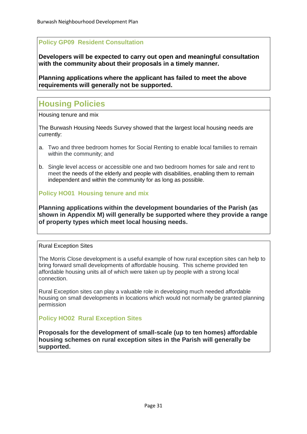# **Policy GP09 Resident Consultation**

**Developers will be expected to carry out open and meaningful consultation with the community about their proposals in a timely manner.**

**Planning applications where the applicant has failed to meet the above requirements will generally not be supported.**

# **Housing Policies**

Housing tenure and mix

The Burwash Housing Needs Survey showed that the largest local housing needs are currently:

- a. Two and three bedroom homes for Social Renting to enable local families to remain within the community; and
- b. Single level access or accessible one and two bedroom homes for sale and rent to meet the needs of the elderly and people with disabilities, enabling them to remain independent and within the community for as long as possible.

### **Policy HO01 Housing tenure and mix**

**Planning applications within the development boundaries of the Parish (as shown in Appendix M) will generally be supported where they provide a range of property types which meet local housing needs.**

#### Rural Exception Sites

The Morris Close development is a useful example of how rural exception sites can help to bring forward small developments of affordable housing. This scheme provided ten affordable housing units all of which were taken up by people with a strong local connection.

Rural Exception sites can play a valuable role in developing much needed affordable housing on small developments in locations which would not normally be granted planning permission

### **Policy HO02 Rural Exception Sites**

**Proposals for the development of small-scale (up to ten homes) affordable housing schemes on rural exception sites in the Parish will generally be supported.**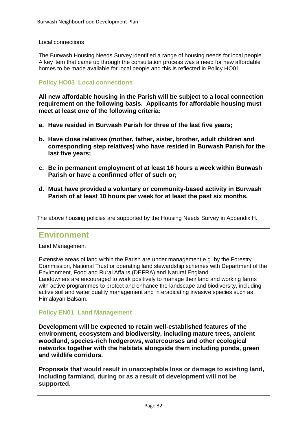#### Local connections

The Burwash Housing Needs Survey identified a range of housing needs for local people. A key item that came up through the consultation process was a need for new affordable homes to be made available for local people and this is reflected in Policy HO01.

### **Policy HO03 Local connections**

**All new affordable housing in the Parish will be subject to a local connection requirement on the following basis. Applicants for affordable housing must meet at least** *one* **of the following criteria:**

- **a. Have resided in Burwash Parish for three of the last five years;**
- **b. Have close relatives (mother, father, sister, brother, adult children and corresponding step relatives) who have resided in Burwash Parish for the last five years;**
- **c. Be in permanent employment of at least 16 hours a week within Burwash Parish or have a confirmed offer of such or;**
- **d. Must have provided a voluntary or community-based activity in Burwash Parish of at least 10 hours per week for at least the past six months.**

The above housing policies are supported by the Housing Needs Survey in Appendix H.

# **Environment**

Land Management

Extensive areas of land within the Parish are under management e.g. by the Forestry Commission, National Trust or operating land stewardship schemes with Department of the Environment, Food and Rural Affairs (DEFRA) and Natural England.

Landowners are encouraged to work positively to manage their land and working farms with active programmes to protect and enhance the landscape and biodiversity, including active soil and water quality management and in eradicating invasive species such as Himalayan Balsam.

### **Policy EN01 Land Management**

**Development will be expected to retain well-established features of the environment, ecosystem and biodiversity, including mature trees, ancient woodland, species-rich hedgerows, watercourses and other ecological networks together with the habitats alongside them including ponds, green and wildlife corridors.**

**Proposals that would result in unacceptable loss or damage to existing land, including farmland, during or as a result of development will not be supported.**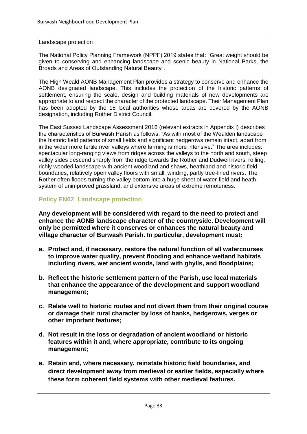#### Landscape protection

The National Policy Planning Framework (NPPF) 2019 states that: "Great weight should be given to conserving and enhancing landscape and scenic beauty in National Parks, the Broads and Areas of Outstanding Natural Beauty".

The High Weald AONB Management Plan provides a strategy to conserve and enhance the AONB designated landscape. This includes the protection of the historic patterns of settlement, ensuring the scale, design and building materials of new developments are appropriate to and respect the character of the protected landscape. Their Management Plan has been adopted by the 15 local authorities whose areas are covered by the AONB designation, including Rother District Council.

The East Sussex Landscape Assessment 2016 (relevant extracts in Appendix I) describes the characteristics of Burwash Parish as follows: "As with most of the Wealden landscape the historic field patterns of small fields and significant hedgerows remain intact, apart from in the wider more fertile river valleys where farming is more intensive." The area includes: spectacular long-ranging views from ridges across the valleys to the north and south, steep valley sides descend sharply from the ridge towards the Rother and Dudwell rivers, rolling, richly wooded landscape with ancient woodland and shaws, heathland and historic field boundaries, relatively open valley floors with small, winding, partly tree-lined rivers. The Rother often floods turning the valley bottom into a huge sheet of water-field and heath system of unimproved grassland, and extensive areas of extreme remoteness.

### **Policy EN02 Landscape protection**

**Any development will be considered with regard to the need to protect and enhance the AONB landscape character of the countryside. Development will only be permitted where it conserves or enhances the natural beauty and village character of Burwash Parish. In particular, development must:**

- **a. Protect and, if necessary, restore the natural function of all watercourses to improve water quality, prevent flooding and enhance wetland habitats including rivers, wet ancient woods, land with ghylls, and floodplains;**
- **b. Reflect the historic settlement pattern of the Parish, use local materials that enhance the appearance of the development and support woodland management;**
- **c. Relate well to historic routes and not divert them from their original course or damage their rural character by loss of banks, hedgerows, verges or other important features;**
- **d. Not result in the loss or degradation of ancient woodland or historic features within it and, where appropriate, contribute to its ongoing management;**
- **e. Retain and, where necessary, reinstate historic field boundaries, and direct development away from medieval or earlier fields, especially where these form coherent field systems with other medieval features.**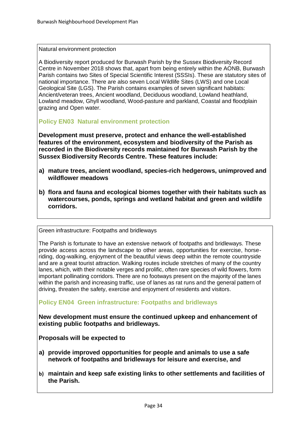Natural environment protection

A Biodiversity report produced for Burwash Parish by the Sussex Biodiversity Record Centre in November 2018 shows that, apart from being entirely within the AONB, Burwash Parish contains two Sites of Special Scientific Interest (SSSIs). These are statutory sites of national importance. There are also seven Local Wildlife Sites (LWS) and one Local Geological Site (LGS). The Parish contains examples of seven significant habitats: Ancient/veteran trees, Ancient woodland, Deciduous woodland, Lowland heathland, Lowland meadow, Ghyll woodland, Wood-pasture and parkland, Coastal and floodplain grazing and Open water.

**Policy EN03 Natural environment protection**

**Development must preserve, protect and enhance the well-established features of the environment, ecosystem and biodiversity of the Parish as recorded in the Biodiversity records maintained for Burwash Parish by the Sussex Biodiversity Records Centre. These features include:**

- **a) mature trees, ancient woodland, species-rich hedgerows, unimproved and wildflower meadows**
- **b) flora and fauna and ecological biomes together with their habitats such as watercourses, ponds, springs and wetland habitat and green and wildlife corridors.**

Green infrastructure: Footpaths and bridleways

The Parish is fortunate to have an extensive network of footpaths and bridleways. These provide access across the landscape to other areas, opportunities for exercise, horseriding, dog-walking, enjoyment of the beautiful views deep within the remote countryside and are a great tourist attraction. Walking routes include stretches of many of the country lanes, which, with their notable verges and prolific, often rare species of wild flowers, form important pollinating corridors. There are no footways present on the majority of the lanes within the parish and increasing traffic, use of lanes as rat runs and the general pattern of driving, threaten the safety, exercise and enjoyment of residents and visitors.

**Policy EN04 Green infrastructure: Footpaths and bridleways** 

**New development must ensure the continued upkeep and enhancement of existing public footpaths and bridleways.** 

**Proposals will be expected to** 

- **a) provide improved opportunities for people and animals to use a safe network of footpaths and bridleways for leisure and exercise, and**
- **b) maintain and keep safe existing links to other settlements and facilities of the Parish.**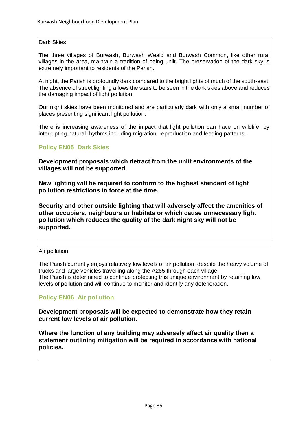#### Dark Skies

The three villages of Burwash, Burwash Weald and Burwash Common, like other rural villages in the area, maintain a tradition of being unlit. The preservation of the dark sky is extremely important to residents of the Parish.

At night, the Parish is profoundly dark compared to the bright lights of much of the south-east. The absence of street lighting allows the stars to be seen in the dark skies above and reduces the damaging impact of light pollution.

Our night skies have been monitored and are particularly dark with only a small number of places presenting significant light pollution.

There is increasing awareness of the impact that light pollution can have on wildlife, by interrupting natural rhythms including migration, reproduction and feeding patterns.

### **Policy EN05 Dark Skies**

**Development proposals which detract from the unlit environments of the villages will not be supported.** 

**New lighting will be required to conform to the highest standard of light pollution restrictions in force at the time.** 

**Security and other outside lighting that will adversely affect the amenities of other occupiers, neighbours or habitats or which cause unnecessary light pollution which reduces the quality of the dark night sky will not be supported.**

#### Air pollution

The Parish currently enjoys relatively low levels of air pollution, despite the heavy volume of trucks and large vehicles travelling along the A265 through each village. The Parish is determined to continue protecting this unique environment by retaining low levels of pollution and will continue to monitor and identify any deterioration.

#### **Policy EN06 Air pollution**

**Development proposals will be expected to demonstrate how they retain current low levels of air pollution.** 

**Where the function of any building may adversely affect air quality then a statement outlining mitigation will be required in accordance with national policies.**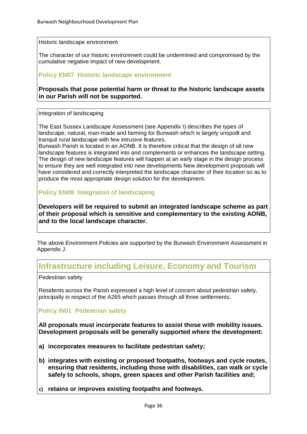Historic landscape environment

The character of our historic environment could be undermined and compromised by the cumulative negative impact of new development.

### **Policy EN07 Historic landscape environment**

**Proposals that pose potential harm or threat to the historic landscape assets in our Parish will not be supported.**

Integration of landscaping

The East Sussex Landscape Assessment (see Appendix I) describes the types of landscape, natural, man-made and farming for Burwash which is largely unspoilt and tranquil rural landscape with few intrusive features.

Burwash Parish is located in an AONB. It is therefore critical that the design of all new landscape features is integrated into and complements or enhances the landscape setting. The design of new landscape features will happen at an early stage in the design process to ensure they are well integrated into new developments New development proposals will have considered and correctly interpreted the landscape character of their location so as to produce the most appropriate design solution for the development.

### **Policy EN08 Integration of landscaping**

**Developers will be required to submit an integrated landscape scheme as part of their proposal which is sensitive and complementary to the existing AONB, and to the local landscape character.**

The above Environment Policies are supported by the Burwash Environment Assessment in Appendix J.

# **Infrastructure including Leisure, Economy and Tourism**

Pedestrian safety

Residents across the Parish expressed a high level of concern about pedestrian safety, principally in respect of the A265 which passes through all three settlements.

**Policy IN01 Pedestrian safety**

**All proposals must incorporate features to assist those with mobility issues. Development proposals will be generally supported where the development:** 

- **a) incorporates measures to facilitate pedestrian safety;**
- **b) integrates with existing or proposed footpaths, footways and cycle routes, ensuring that residents, including those with disabilities, can walk or cycle safely to schools, shops, green spaces and other Parish facilities and;**
- **c) retains or improves existing footpaths and footways.**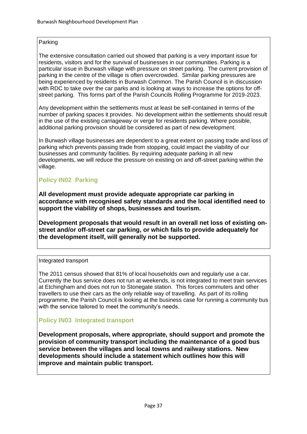### Parking

The extensive consultation carried out showed that parking is a very important issue for residents, visitors and for the survival of businesses in our communities. Parking is a particular issue in Burwash village with pressure on street parking. The current provision of parking in the centre of the village is often overcrowded. Similar parking pressures are being experienced by residents in Burwash Common. The Parish Council is in discussion with RDC to take over the car parks and is looking at ways to increase the options for offstreet parking. This forms part of the Parish Councils Rolling Programme for 2019-2023.

Any development within the settlements must at least be self-contained in terms of the number of parking spaces it provides. No development within the settlements should result in the use of the existing carriageway or verge for residents parking. Where possible, additional parking provision should be considered as part of new development.

In Burwash village businesses are dependent to a great extent on passing trade and loss of parking which prevents passing trade from stopping, could impact the viability of our businesses and community facilities. By requiring adequate parking in all new developments, we will reduce the pressure on existing on and off-street parking within the village.

# **Policy IN02 Parking**

**All development must provide adequate appropriate car parking in accordance with recognised safety standards and the local identified need to support the viability of shops, businesses and tourism.**

**Development proposals that would result in an overall net loss of existing onstreet and/or off-street car parking, or which fails to provide adequately for the development itself, will generally not be supported.**

#### Integrated transport

The 2011 census showed that 81% of local households own and regularly use a car. Currently the bus service does not run at weekends, is not integrated to meet train services at Etchingham and does not run to Stonegate station. This forces commuters and other travellers to use their cars as the only reliable way of travelling. As part of its rolling programme, the Parish Council is looking at the business case for running a community bus with the service tailored to meet the community's needs.

### **Policy IN03 Integrated transport**

**Development proposals, where appropriate, should support and promote the provision of community transport including the maintenance of a good bus service between the villages and local towns and railway stations. New developments should include a statement which outlines how this will improve and maintain public transport.**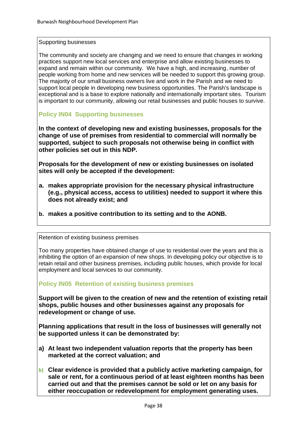#### Supporting businesses

The community and society are changing and we need to ensure that changes in working practices support new local services and enterprise and allow existing businesses to expand and remain within our community. We have a high, and increasing, number of people working from home and new services will be needed to support this growing group. The majority of our small business owners live and work in the Parish and we need to support local people in developing new business opportunities. The Parish's landscape is exceptional and is a base to explore nationally and internationally important sites. Tourism is important to our community, allowing our retail businesses and public houses to survive.

### **Policy IN04 Supporting businesses**

**In the context of developing new and existing businesses, proposals for the change of use of premises from residential to commercial will normally be supported, subject to such proposals not otherwise being in conflict with other policies set out in this NDP.** 

**Proposals for the development of new or existing businesses on isolated sites will only be accepted if the development:**

- **a. makes appropriate provision for the necessary physical infrastructure (e.g., physical access, access to utilities) needed to support it where this does not already exist; and**
- **b. makes a positive contribution to its setting and to the AONB.**

#### Retention of existing business premises

Too many properties have obtained change of use to residential over the years and this is inhibiting the option of an expansion of new shops. In developing policy our objective is to retain retail and other business premises, including public houses, which provide for local employment and local services to our community.

#### **Policy IN05 Retention of existing business premises**

**Support will be given to the creation of new and the retention of existing retail shops, public houses and other businesses against any proposals for redevelopment or change of use.** 

**Planning applications that result in the loss of businesses will generally not be supported unless it can be demonstrated by:** 

- **a) At least two independent valuation reports that the property has been marketed at the correct valuation; and**
- **b) Clear evidence is provided that a publicly active marketing campaign, for sale or rent, for a continuous period of at least eighteen months has been carried out and that the premises cannot be sold or let on any basis for either reoccupation or redevelopment for employment generating uses.**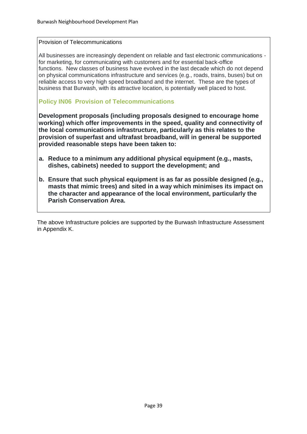#### Provision of Telecommunications

All businesses are increasingly dependent on reliable and fast electronic communications for marketing, for communicating with customers and for essential back-office functions. New classes of business have evolved in the last decade which do not depend on physical communications infrastructure and services (e.g., roads, trains, buses) but on reliable access to very high speed broadband and the internet. These are the types of business that Burwash, with its attractive location, is potentially well placed to host.

#### **Policy IN06 Provision of Telecommunications**

**Development proposals (including proposals designed to encourage home working) which offer improvements in the speed, quality and connectivity of the local communications infrastructure, particularly as this relates to the provision of superfast and ultrafast broadband, will in general be supported provided reasonable steps have been taken to:**

- **a. Reduce to a minimum any additional physical equipment (e.g., masts, dishes, cabinets) needed to support the development; and**
- **b. Ensure that such physical equipment is as far as possible designed (e.g., masts that mimic trees) and sited in a way which minimises its impact on the character and appearance of the local environment, particularly the Parish Conservation Area.**

The above Infrastructure policies are supported by the Burwash Infrastructure Assessment in Appendix K.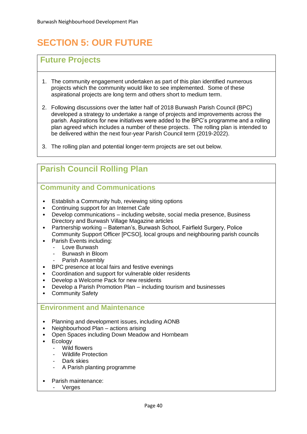# **SECTION 5: OUR FUTURE**

# **Future Projects**

- 1. The community engagement undertaken as part of this plan identified numerous projects which the community would like to see implemented. Some of these aspirational projects are long term and others short to medium term.
- 2. Following discussions over the latter half of 2018 Burwash Parish Council (BPC) developed a strategy to undertake a range of projects and improvements across the parish. Aspirations for new initiatives were added to the BPC's programme and a rolling plan agreed which includes a number of these projects. The rolling plan is intended to be delivered within the next four-year Parish Council term (2019-2022).
- 3. The rolling plan and potential longer-term projects are set out below.

# **Parish Council Rolling Plan**

# **Community and Communications**

- Establish a Community hub, reviewing siting options
- Continuing support for an Internet Cafe
- Develop communications including website, social media presence, Business Directory and Burwash Village Magazine articles
- Partnership working Bateman's, Burwash School, Fairfield Surgery, Police Community Support Officer [PCSO], local groups and neighbouring parish councils
- Parish Events including:
	- Love Burwash
	- Burwash in Bloom
	- Parish Assembly
- BPC presence at local fairs and festive evenings
- Coordination and support for vulnerable older residents
- Develop a Welcome Pack for new residents
- Develop a Parish Promotion Plan including tourism and businesses
- **Community Safety**

### **Environment and Maintenance**

- Planning and development issues, including AONB
- Neighbourhood Plan actions arising
- Open Spaces including Down Meadow and Hornbeam<br>• Ecology
- **Ecology** 
	- Wild flowers
	- Wildlife Protection
	- Dark skies
	- A Parish planting programme
- Parish maintenance:
	- **Verges**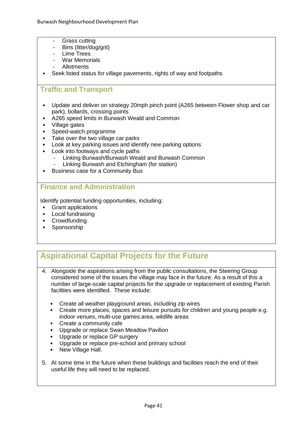- Grass cutting
- Bins (litter/dog/grit)
- Lime Trees
- War Memorials
- Allotments
- Seek listed status for village pavements, rights of way and footpaths

### **Traffic and Transport**

- Update and deliver on strategy 20mph pinch point (A265 between Flower shop and car park), bollards, crossing points
- A265 speed limits in Burwash Weald and Common
- Village gates
- Speed-watch programme
- Take over the two village car parks
- Look at key parking issues and identify new parking options
- Look into footways and cycle paths
	- Linking Burwash/Burwash Weald and Burwash Common
	- Linking Burwash and Etchingham (for station)
- Business case for a Community Bus

### **Finance and Administration**

Identify potential funding opportunities, including:

- Grant applications
- Local fundraising
- Crowdfunding
- Sponsorship

# **Aspirational Capital Projects for the Future**

- 4. Alongside the aspirations arising from the public consultations, the Steering Group considered some of the issues the village may face in the future. As a result of this a number of large-scale capital projects for the upgrade or replacement of existing Parish facilities were identified. These include:
	- Create all weather playground areas, including zip wires
	- Create more places, spaces and leisure pursuits for children and young people e.g. indoor venues, multi-use games area, wildlife areas
	- Create a community cafe
	- Upgrade or replace Swan Meadow Pavilion
	- Upgrade or replace GP surgery
	- Upgrade or replace pre-school and primary school
	- New Village Hall.
- 5. At some time in the future when these buildings and facilities reach the end of their useful life they will need to be replaced.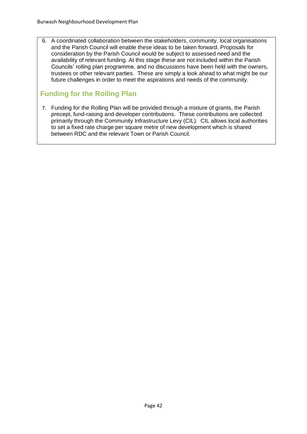6. A coordinated collaboration between the stakeholders, community, local organisations and the Parish Council will enable these ideas to be taken forward. Proposals for consideration by the Parish Council would be subject to assessed need and the availability of relevant funding. At this stage these are not included within the Parish Councils' rolling plan programme, and no discussions have been held with the owners, trustees or other relevant parties. These are simply a look ahead to what might be our future challenges in order to meet the aspirations and needs of the community.

# **Funding for the Rolling Plan**

7. Funding for the Rolling Plan will be provided through a mixture of grants, the Parish precept, fund-raising and developer contributions. These contributions are collected primarily through the Community Infrastructure Levy (CIL). CIL allows local authorities to set a fixed rate charge per square metre of new development which is shared between RDC and the relevant Town or Parish Council.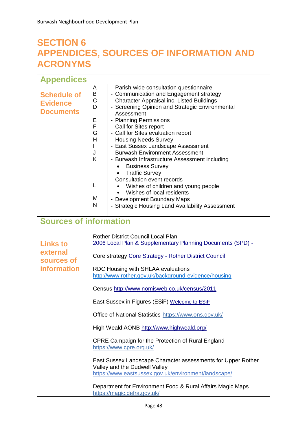# **SECTION 6 APPENDICES, SOURCES OF INFORMATION AND ACRONYMS**

| <b>Appendices</b>                                               |                                                                                                                                                                                                                                                                                                                                                                                                                                                                                                                                                                                                                                                                                                                                                                                                              |  |
|-----------------------------------------------------------------|--------------------------------------------------------------------------------------------------------------------------------------------------------------------------------------------------------------------------------------------------------------------------------------------------------------------------------------------------------------------------------------------------------------------------------------------------------------------------------------------------------------------------------------------------------------------------------------------------------------------------------------------------------------------------------------------------------------------------------------------------------------------------------------------------------------|--|
| <b>Schedule of</b><br><b>Evidence</b><br><b>Documents</b>       | - Parish-wide consultation questionnaire<br>A<br>- Communication and Engagement strategy<br>В<br>C<br>- Character Appraisal inc. Listed Buildings<br>- Screening Opinion and Strategic Environmental<br>D<br>Assessment<br>- Planning Permissions<br>Ε<br>F<br>- Call for Sites report<br>G<br>- Call for Sites evaluation report<br>Н<br>- Housing Needs Survey<br>- East Sussex Landscape Assessment<br>- Burwash Environment Assessment<br>J<br>K<br>- Burwash Infrastructure Assessment including<br><b>Business Survey</b><br><b>Traffic Survey</b><br>- Consultation event records<br>L<br>Wishes of children and young people<br>Wishes of local residents<br>M<br>- Development Boundary Maps<br>N<br>- Strategic Housing Land Availability Assessment                                               |  |
| <b>Sources of information</b>                                   |                                                                                                                                                                                                                                                                                                                                                                                                                                                                                                                                                                                                                                                                                                                                                                                                              |  |
| <b>Links to</b><br>external<br>sources of<br><b>information</b> | <b>Rother District Council Local Plan</b><br>2006 Local Plan & Supplementary Planning Documents (SPD) -<br>Core strategy Core Strategy - Rother District Council<br>RDC Housing with SHLAA evaluations<br>http://www.rother.gov.uk/background-evidence/housing<br>Census http://www.nomisweb.co.uk/census/2011<br>East Sussex in Figures (ESiF) Welcome to ESiF<br>Office of National Statistics https://www.ons.gov.uk/<br>High Weald AONB http://www.highweald.org/<br>CPRE Campaign for the Protection of Rural England<br>https://www.cpre.org.uk/<br>East Sussex Landscape Character assessments for Upper Rother<br>Valley and the Dudwell Valley<br>https://www.eastsussex.gov.uk/environment/landscape/<br>Department for Environment Food & Rural Affairs Magic Maps<br>https://magic.defra.gov.uk/ |  |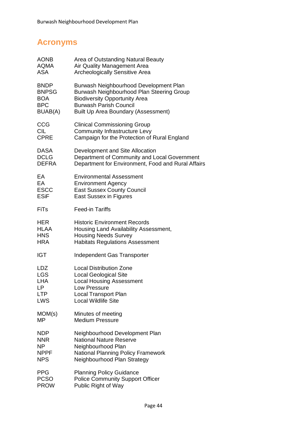# **Acronyms**

| <b>AONB</b>  | Area of Outstanding Natural Beauty                 |
|--------------|----------------------------------------------------|
| AQMA         | Air Quality Management Area                        |
| <b>ASA</b>   | Archeologically Sensitive Area                     |
| <b>BNDP</b>  | Burwash Neighbourhood Development Plan             |
| <b>BNPSG</b> | Burwash Neighbourhood Plan Steering Group          |
| <b>BOA</b>   | <b>Biodiversity Opportunity Area</b>               |
| <b>BPC</b>   | <b>Burwash Parish Council</b>                      |
| BUAB(A)      | Built Up Area Boundary (Assessment)                |
| CCG          | <b>Clinical Commissioning Group</b>                |
| CIL          | <b>Community Infrastructure Levy</b>               |
| <b>CPRE</b>  | Campaign for the Protection of Rural England       |
| <b>DASA</b>  | Development and Site Allocation                    |
| <b>DCLG</b>  | Department of Community and Local Government       |
| <b>DEFRA</b> | Department for Environment, Food and Rural Affairs |
| EA           | <b>Environmental Assessment</b>                    |
| EA           | <b>Environment Agency</b>                          |
| <b>ESCC</b>  | <b>East Sussex County Council</b>                  |
| <b>ESiF</b>  | <b>East Sussex in Figures</b>                      |
| <b>FiTs</b>  | <b>Feed-in Tariffs</b>                             |
| <b>HER</b>   | <b>Historic Environment Records</b>                |
| <b>HLAA</b>  | Housing Land Availability Assessment,              |
| <b>HNS</b>   | <b>Housing Needs Survey</b>                        |
| <b>HRA</b>   | <b>Habitats Regulations Assessment</b>             |
| <b>IGT</b>   | Independent Gas Transporter                        |
| <b>LDZ</b>   | <b>Local Distribution Zone</b>                     |
| <b>LGS</b>   | <b>Local Geological Site</b>                       |
| <b>LHA</b>   | <b>Local Housing Assessment</b>                    |
| LP           | Low Pressure                                       |
| <b>LTP</b>   | <b>Local Transport Plan</b>                        |
| <b>LWS</b>   | <b>Local Wildlife Site</b>                         |
| MOM(s)       | Minutes of meeting                                 |
| ΜP           | <b>Medium Pressure</b>                             |
| <b>NDP</b>   | Neighbourhood Development Plan                     |
| <b>NNR</b>   | <b>National Nature Reserve</b>                     |
| NP           | Neighbourhood Plan                                 |
| <b>NPPF</b>  | <b>National Planning Policy Framework</b>          |
| <b>NPS</b>   | Neighbourhood Plan Strategy                        |
| <b>PPG</b>   | <b>Planning Policy Guidance</b>                    |
| <b>PCSO</b>  | <b>Police Community Support Officer</b>            |
| <b>PROW</b>  | Public Right of Way                                |